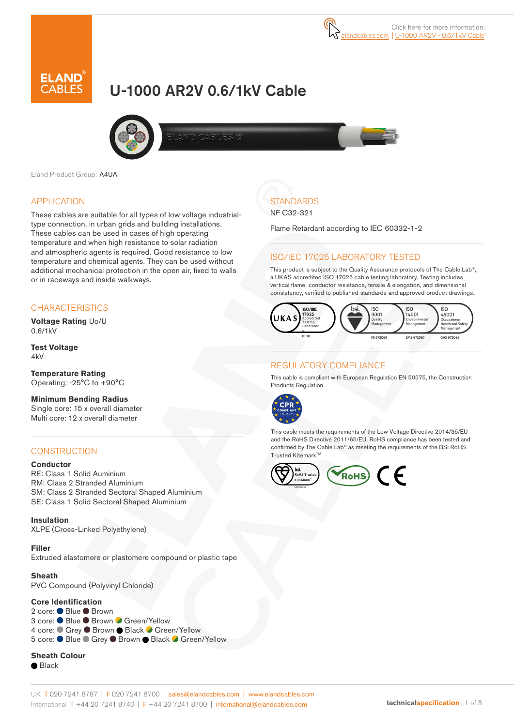# U-1000 AR2V 0.6/1kV Cable





Eland Product Group: A4UA

### APPLICATION

These cables are suitable for all types of low voltage industrialtype connection, in urban grids and building installations. These cables can be used in cases of high operating temperature and when high resistance to solar radiation and atmospheric agents is required. Good resistance to low temperature and chemical agents. They can be used without additional mechanical protection in the open air, fixed to walls or in raceways and inside walkways.

# **CHARACTERISTICS**

**Voltage Rating** Uo/U 0.6/1kV

**Test Voltage**  $4kV$ 

**Temperature Rating** Operating: -25°C to +90°C

#### **Minimum Bending Radius**  Single core: 15 x overall diameter Multi core: 12 x overall diameter

## **CONSTRUCTION**

### **Conductor**

RE: Class 1 Solid Auminium RM: Class 2 Stranded Aluminium SM: Class 2 Stranded Sectoral Shaped Aluminium SE: Class 1 Solid Sectoral Shaped Aluminium

**Insulation** XLPE (Cross-Linked Polyethylene)

**Filler** Extruded elastomere or plastomere compound or plastic tape

**Sheath**

PVC Compound (Polyvinyl Chloride)

#### **Core Identification**

2 core: ● Blue ● Brown 3 core: ● Blue ● Brown ● Green/Yellow 4 core: Crey C Brown C Black C Green/Yellow 5 core: ● Blue ● Grey ● Brown ● Black ● Green/Yellow

**Sheath Colour** ● Black

# **STANDARDS**

NF C32-321

Flame Retardant according to IEC 60332-1-2

# ISO/IEC 17025 LABORATORY TESTED

This product is subject to the Quality Assurance protocols of The Cable Lab®, a UKAS accredited ISO 17025 cable testing laboratory. Testing includes vertical flame, conductor resistance, tensile & elongation, and dimensional consistency, verified to published standards and approved product drawings.



# REGULATORY COMPLIANCE

This cable is compliant with European Regulation EN 50575, the Construction Products Regulation.



This cable meets the requirements of the Low Voltage Directive 2014/35/EU and the RoHS Directive 2011/65/EU. RoHS compliance has been tested and confirmed by The Cable Lab® as meeting the requirements of the BSI RoHS Trusted Kitemark™

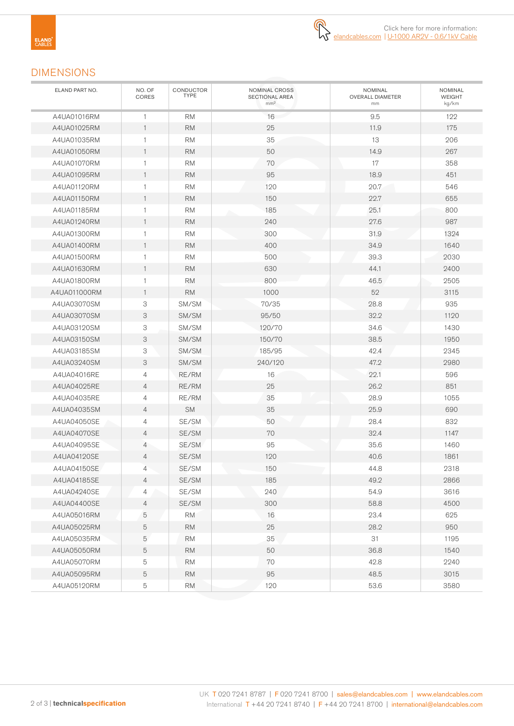

# DIMENSIONS

| ELAND PART NO. | NO. OF<br>CORES | CONDUCTOR<br><b>TYPE</b> | NOMINAL CROSS<br><b>SECTIONAL AREA</b><br>mm <sup>2</sup> | <b>NOMINAL</b><br>OVERALL DIAMETER<br>mm | NOMINAL<br>WEIGHT<br>kg/km |
|----------------|-----------------|--------------------------|-----------------------------------------------------------|------------------------------------------|----------------------------|
| A4UA01016RM    | 1               | <b>RM</b>                | 16                                                        | 9.5                                      | 122                        |
| A4UA01025RM    | $\mathbf{1}$    | <b>RM</b>                | 25                                                        | 11.9                                     | 175                        |
| A4UA01035RM    | 1               | <b>RM</b>                | 35                                                        | 13                                       | 206                        |
| A4UA01050RM    | $\mathbf{1}$    | <b>RM</b>                | 50                                                        | 14.9                                     | 267                        |
| A4UA01070RM    | 1               | <b>RM</b>                | 70                                                        | 17                                       | 358                        |
| A4UA01095RM    | $\mathbf{1}$    | <b>RM</b>                | 95                                                        | 18.9                                     | 451                        |
| A4UA01120RM    | $\mathbf{1}$    | <b>RM</b>                | 120                                                       | 20.7                                     | 546                        |
| A4UA01150RM    | $\mathbf{1}$    | <b>RM</b>                | 150                                                       | 22.7                                     | 655                        |
| A4UA01185RM    | 1               | RM                       | 185                                                       | 25.1                                     | 800                        |
| A4UA01240RM    | $\mathbf{1}$    | <b>RM</b>                | 240                                                       | 27.6                                     | 987                        |
| A4UA01300RM    | $\mathbf{1}$    | <b>RM</b>                | 300                                                       | 31.9                                     | 1324                       |
| A4UA01400RM    | $\mathbf{1}$    | <b>RM</b>                | 400                                                       | 34.9                                     | 1640                       |
| A4UA01500RM    | $\mathbf{1}$    | <b>RM</b>                | 500                                                       | 39.3                                     | 2030                       |
| A4UA01630RM    | $\mathbf{1}$    | <b>RM</b>                | 630                                                       | 44.1                                     | 2400                       |
| A4UA01800RM    | 1               | <b>RM</b>                | 800                                                       | 46.5                                     | 2505                       |
| A4UA011000RM   | $\mathbf{1}$    | <b>RM</b>                | 1000                                                      | 52                                       | 3115                       |
| A4UA03070SM    | 3               | SM/SM                    | 70/35                                                     | 28.8                                     | 935                        |
| A4UA03070SM    | 3               | SM/SM                    | 95/50                                                     | 32.2                                     | 1120                       |
| A4UA03120SM    | 3               | SM/SM                    | 120/70                                                    | 34.6                                     | 1430                       |
| A4UA03150SM    | 3               | SM/SM                    | 150/70                                                    | 38.5                                     | 1950                       |
| A4UA03185SM    | 3               | SM/SM                    | 185/95                                                    | 42.4                                     | 2345                       |
| A4UA03240SM    | 3               | SM/SM                    | 240/120                                                   | 47.2                                     | 2980                       |
| A4UA04016RE    | $\overline{4}$  | RE/RM                    | 16                                                        | 22.1                                     | 596                        |
| A4UA04025RE    | $\overline{4}$  | RE/RM                    | 25                                                        | 26.2                                     | 851                        |
| A4UA04035RE    | $\overline{4}$  | RE/RM                    | 35                                                        | 28.9                                     | 1055                       |
| A4UA04035SM    | $\overline{4}$  | <b>SM</b>                | 35                                                        | 25.9                                     | 690                        |
| A4UA04050SE    | 4               | SE/SM                    | 50                                                        | 28.4                                     | 832                        |
| A4UA04070SE    | $\overline{4}$  | SE/SM                    | 70                                                        | 32.4                                     | 1147                       |
| A4UA04095SE    | 4               | SE/SM                    | 95                                                        | 35.6                                     | 1460                       |
| A4UA04120SE    | $\overline{4}$  | SE/SM                    | 120                                                       | 40.6                                     | 1861                       |
| A4UA04150SE    | 4               | SE/SM                    | 150                                                       | 44.8                                     | 2318                       |
| A4UA04185SE    | $\overline{4}$  | SE/SM                    | 185                                                       | 49.2                                     | 2866                       |
| A4UA04240SE    | 4               | SE/SM                    | 240                                                       | 54.9                                     | 3616                       |
| A4UA04400SE    | $\overline{4}$  | SE/SM                    | 300                                                       | 58.8                                     | 4500                       |
| A4UA05016RM    | 5               | <b>RM</b>                | 16                                                        | 23.4                                     | 625                        |
| A4UA05025RM    | 5               | <b>RM</b>                | 25                                                        | 28.2                                     | 950                        |
| A4UA05035RM    | 5               | $\mathsf{RM}$            | 35                                                        | 31                                       | 1195                       |
| A4UA05050RM    | 5               | <b>RM</b>                | 50                                                        | 36.8                                     | 1540                       |
| A4UA05070RM    | 5               | <b>RM</b>                | 70                                                        | 42.8                                     | 2240                       |
| A4UA05095RM    | 5               | <b>RM</b>                | 95                                                        | 48.5                                     | 3015                       |
| A4UA05120RM    | 5               | $\mathsf{RM}$            | 120                                                       | 53.6                                     | 3580                       |